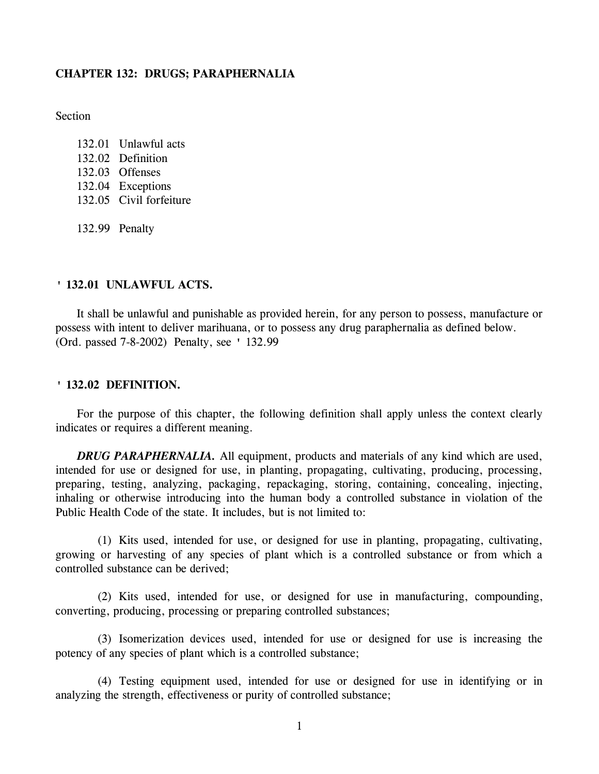## **CHAPTER 132: DRUGS; PARAPHERNALIA**

Section

- 132.01 Unlawful acts 132.02 Definition 132.03 Offenses 132.04 Exceptions 132.05 Civil forfeiture
- 132.99 Penalty

## **' 132.01 UNLAWFUL ACTS.**

It shall be unlawful and punishable as provided herein, for any person to possess, manufacture or possess with intent to deliver marihuana, or to possess any drug paraphernalia as defined below. (Ord. passed 7-8-2002) Penalty, see ' 132.99

### **' 132.02 DEFINITION.**

For the purpose of this chapter, the following definition shall apply unless the context clearly indicates or requires a different meaning.

*DRUG PARAPHERNALIA.* All equipment, products and materials of any kind which are used, intended for use or designed for use, in planting, propagating, cultivating, producing, processing, preparing, testing, analyzing, packaging, repackaging, storing, containing, concealing, injecting, inhaling or otherwise introducing into the human body a controlled substance in violation of the Public Health Code of the state. It includes, but is not limited to:

(1) Kits used, intended for use, or designed for use in planting, propagating, cultivating, growing or harvesting of any species of plant which is a controlled substance or from which a controlled substance can be derived;

(2) Kits used, intended for use, or designed for use in manufacturing, compounding, converting, producing, processing or preparing controlled substances;

(3) Isomerization devices used, intended for use or designed for use is increasing the potency of any species of plant which is a controlled substance;

(4) Testing equipment used, intended for use or designed for use in identifying or in analyzing the strength, effectiveness or purity of controlled substance;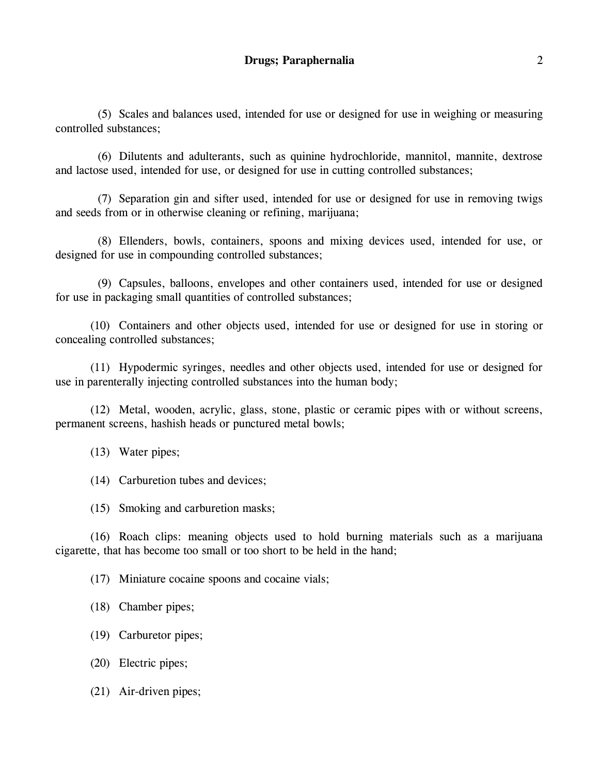(5) Scales and balances used, intended for use or designed for use in weighing or measuring controlled substances;

(6) Dilutents and adulterants, such as quinine hydrochloride, mannitol, mannite, dextrose and lactose used, intended for use, or designed for use in cutting controlled substances;

(7) Separation gin and sifter used, intended for use or designed for use in removing twigs and seeds from or in otherwise cleaning or refining, marijuana;

(8) Ellenders, bowls, containers, spoons and mixing devices used, intended for use, or designed for use in compounding controlled substances;

(9) Capsules, balloons, envelopes and other containers used, intended for use or designed for use in packaging small quantities of controlled substances;

(10) Containers and other objects used, intended for use or designed for use in storing or concealing controlled substances;

(11) Hypodermic syringes, needles and other objects used, intended for use or designed for use in parenterally injecting controlled substances into the human body;

(12) Metal, wooden, acrylic, glass, stone, plastic or ceramic pipes with or without screens, permanent screens, hashish heads or punctured metal bowls;

(13) Water pipes;

(14) Carburetion tubes and devices;

(15) Smoking and carburetion masks;

(16) Roach clips: meaning objects used to hold burning materials such as a marijuana cigarette, that has become too small or too short to be held in the hand;

(17) Miniature cocaine spoons and cocaine vials;

(18) Chamber pipes;

(19) Carburetor pipes;

(20) Electric pipes;

(21) Air-driven pipes;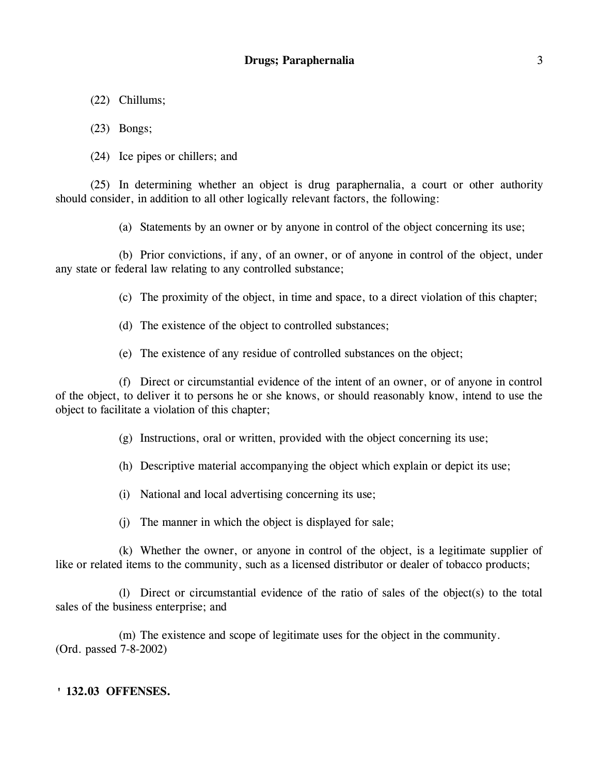- (22) Chillums;
- (23) Bongs;
- (24) Ice pipes or chillers; and

(25) In determining whether an object is drug paraphernalia, a court or other authority should consider, in addition to all other logically relevant factors, the following:

(a) Statements by an owner or by anyone in control of the object concerning its use;

(b) Prior convictions, if any, of an owner, or of anyone in control of the object, under any state or federal law relating to any controlled substance;

(c) The proximity of the object, in time and space, to a direct violation of this chapter;

- (d) The existence of the object to controlled substances;
- (e) The existence of any residue of controlled substances on the object;

(f) Direct or circumstantial evidence of the intent of an owner, or of anyone in control of the object, to deliver it to persons he or she knows, or should reasonably know, intend to use the object to facilitate a violation of this chapter;

(g) Instructions, oral or written, provided with the object concerning its use;

(h) Descriptive material accompanying the object which explain or depict its use;

- (i) National and local advertising concerning its use;
- (j) The manner in which the object is displayed for sale;

(k) Whether the owner, or anyone in control of the object, is a legitimate supplier of like or related items to the community, such as a licensed distributor or dealer of tobacco products;

(l) Direct or circumstantial evidence of the ratio of sales of the object(s) to the total sales of the business enterprise; and

(m) The existence and scope of legitimate uses for the object in the community. (Ord. passed 7-8-2002)

# **' 132.03 OFFENSES.**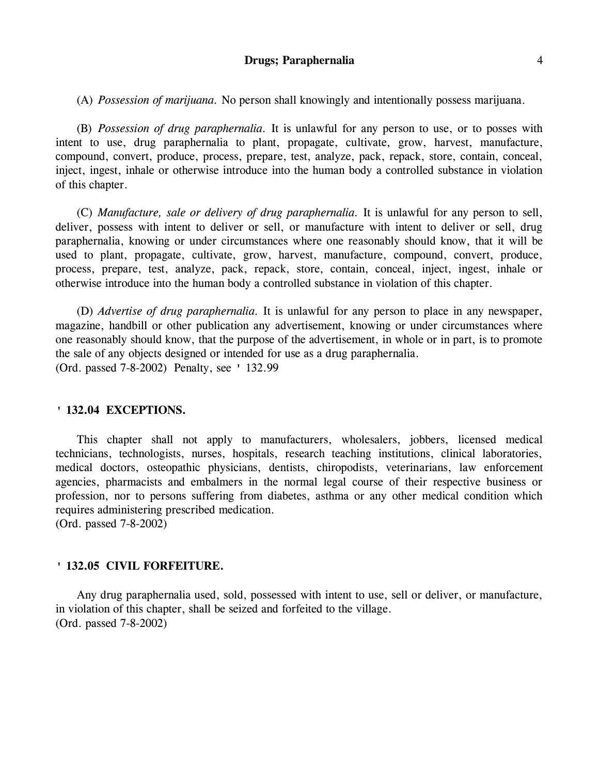#### **Drugs; Paraphernalia** 4

(A) *Possession of marijuana.* No person shall knowingly and intentionally possess marijuana.

(B) *Possession of drug paraphernalia.* It is unlawful for any person to use, or to posses with intent to use, drug paraphernalia to plant, propagate, cultivate, grow, harvest, manufacture, compound, convert, produce, process, prepare, test, analyze, pack, repack, store, contain, conceal, inject, ingest, inhale or otherwise introduce into the human body a controlled substance in violation of this chapter.

(C) *Manufacture, sale or delivery of drug paraphernalia.* It is unlawful for any person to sell, deliver, possess with intent to deliver or sell, or manufacture with intent to deliver or sell, drug paraphernalia, knowing or under circumstances where one reasonably should know, that it will be used to plant, propagate, cultivate, grow, harvest, manufacture, compound, convert, produce, process, prepare, test, analyze, pack, repack, store, contain, conceal, inject, ingest, inhale or otherwise introduce into the human body a controlled substance in violation of this chapter.

(D) *Advertise of drug paraphernalia.* It is unlawful for any person to place in any newspaper, magazine, handbill or other publication any advertisement, knowing or under circumstances where one reasonably should know, that the purpose of the advertisement, in whole or in part, is to promote the sale of any objects designed or intended for use as a drug paraphernalia. (Ord. passed 7-8-2002) Penalty, see ' 132.99

### **' 132.04 EXCEPTIONS.**

This chapter shall not apply to manufacturers, wholesalers, jobbers, licensed medical technicians, technologists, nurses, hospitals, research teaching institutions, clinical laboratories, medical doctors, osteopathic physicians, dentists, chiropodists, veterinarians, law enforcement agencies, pharmacists and embalmers in the normal legal course of their respective business or profession, nor to persons suffering from diabetes, asthma or any other medical condition which requires administering prescribed medication.

(Ord. passed 7-8-2002)

## **' 132.05 CIVIL FORFEITURE.**

Any drug paraphernalia used, sold, possessed with intent to use, sell or deliver, or manufacture, in violation of this chapter, shall be seized and forfeited to the village. (Ord. passed 7-8-2002)